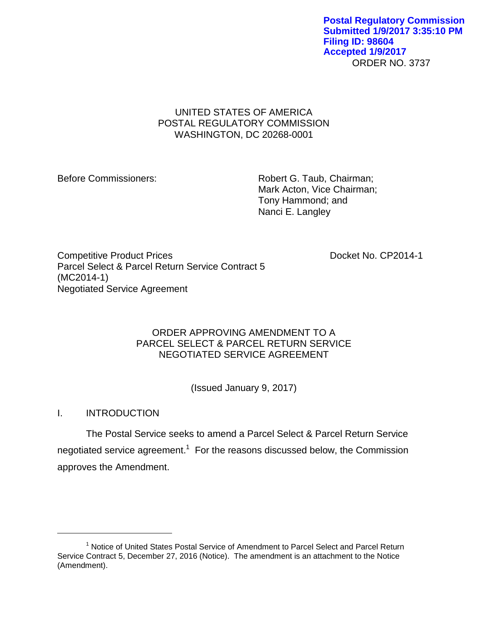ORDER NO. 3737 **Postal Regulatory Commission Submitted 1/9/2017 3:35:10 PM Filing ID: 98604 Accepted 1/9/2017**

## UNITED STATES OF AMERICA POSTAL REGULATORY COMMISSION WASHINGTON, DC 20268-0001

Before Commissioners: Robert G. Taub, Chairman; Mark Acton, Vice Chairman; Tony Hammond; and Nanci E. Langley

Competitive Product Prices **Docket No. CP2014-1** Parcel Select & Parcel Return Service Contract 5 (MC2014-1) Negotiated Service Agreement

## ORDER APPROVING AMENDMENT TO A PARCEL SELECT & PARCEL RETURN SERVICE NEGOTIATED SERVICE AGREEMENT

(Issued January 9, 2017)

# I. INTRODUCTION

 $\overline{a}$ 

The Postal Service seeks to amend a Parcel Select & Parcel Return Service negotiated service agreement.<sup>1</sup> For the reasons discussed below, the Commission approves the Amendment.

<sup>&</sup>lt;sup>1</sup> Notice of United States Postal Service of Amendment to Parcel Select and Parcel Return Service Contract 5, December 27, 2016 (Notice). The amendment is an attachment to the Notice (Amendment).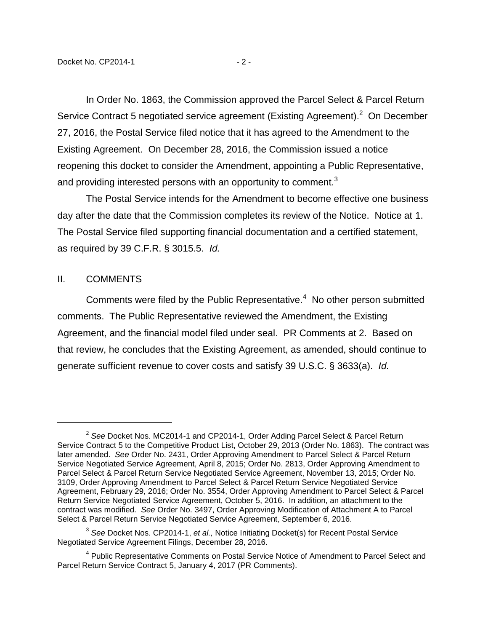In Order No. 1863, the Commission approved the Parcel Select & Parcel Return Service Contract 5 negotiated service agreement (Existing Agreement).<sup>2</sup> On December 27, 2016, the Postal Service filed notice that it has agreed to the Amendment to the Existing Agreement. On December 28, 2016, the Commission issued a notice reopening this docket to consider the Amendment, appointing a Public Representative, and providing interested persons with an opportunity to comment.<sup>3</sup>

The Postal Service intends for the Amendment to become effective one business day after the date that the Commission completes its review of the Notice. Notice at 1. The Postal Service filed supporting financial documentation and a certified statement, as required by 39 C.F.R. § 3015.5. *Id.*

### II. COMMENTS

 $\overline{a}$ 

Comments were filed by the Public Representative. $4$  No other person submitted comments. The Public Representative reviewed the Amendment, the Existing Agreement, and the financial model filed under seal. PR Comments at 2. Based on that review, he concludes that the Existing Agreement, as amended, should continue to generate sufficient revenue to cover costs and satisfy 39 U.S.C. § 3633(a). *Id.*

<sup>2</sup> *See* Docket Nos. MC2014-1 and CP2014-1, Order Adding Parcel Select & Parcel Return Service Contract 5 to the Competitive Product List, October 29, 2013 (Order No. 1863). The contract was later amended. *See* Order No. 2431, Order Approving Amendment to Parcel Select & Parcel Return Service Negotiated Service Agreement, April 8, 2015; Order No. 2813, Order Approving Amendment to Parcel Select & Parcel Return Service Negotiated Service Agreement, November 13, 2015; Order No. 3109, Order Approving Amendment to Parcel Select & Parcel Return Service Negotiated Service Agreement, February 29, 2016; Order No. 3554, Order Approving Amendment to Parcel Select & Parcel Return Service Negotiated Service Agreement, October 5, 2016. In addition, an attachment to the contract was modified. *See* Order No. 3497, Order Approving Modification of Attachment A to Parcel Select & Parcel Return Service Negotiated Service Agreement, September 6, 2016.

<sup>3</sup> *See* Docket Nos. CP2014-1, *et al.,* Notice Initiating Docket(s) for Recent Postal Service Negotiated Service Agreement Filings, December 28, 2016.

<sup>&</sup>lt;sup>4</sup> Public Representative Comments on Postal Service Notice of Amendment to Parcel Select and Parcel Return Service Contract 5, January 4, 2017 (PR Comments).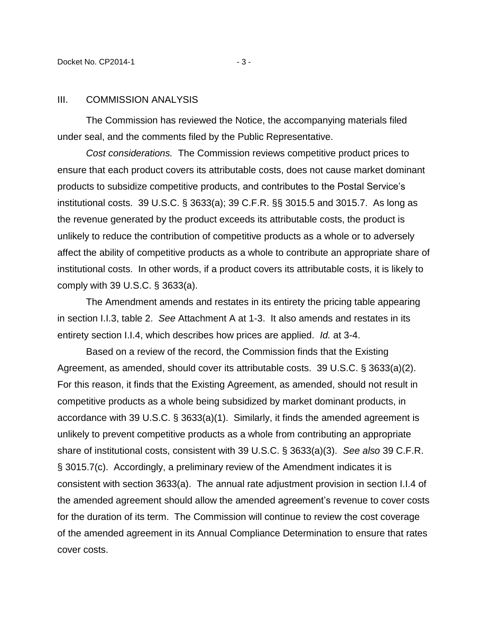#### III. COMMISSION ANALYSIS

The Commission has reviewed the Notice, the accompanying materials filed under seal, and the comments filed by the Public Representative.

*Cost considerations.* The Commission reviews competitive product prices to ensure that each product covers its attributable costs, does not cause market dominant products to subsidize competitive products, and contributes to the Postal Service's institutional costs. 39 U.S.C. § 3633(a); 39 C.F.R. §§ 3015.5 and 3015.7. As long as the revenue generated by the product exceeds its attributable costs, the product is unlikely to reduce the contribution of competitive products as a whole or to adversely affect the ability of competitive products as a whole to contribute an appropriate share of institutional costs. In other words, if a product covers its attributable costs, it is likely to comply with 39 U.S.C. § 3633(a).

The Amendment amends and restates in its entirety the pricing table appearing in section I.I.3, table 2. *See* Attachment A at 1-3. It also amends and restates in its entirety section I.I.4, which describes how prices are applied. *Id.* at 3-4.

Based on a review of the record, the Commission finds that the Existing Agreement, as amended, should cover its attributable costs. 39 U.S.C. § 3633(a)(2). For this reason, it finds that the Existing Agreement, as amended, should not result in competitive products as a whole being subsidized by market dominant products, in accordance with 39 U.S.C. § 3633(a)(1). Similarly, it finds the amended agreement is unlikely to prevent competitive products as a whole from contributing an appropriate share of institutional costs, consistent with 39 U.S.C. § 3633(a)(3). *See also* 39 C.F.R. § 3015.7(c). Accordingly, a preliminary review of the Amendment indicates it is consistent with section 3633(a). The annual rate adjustment provision in section I.I.4 of the amended agreement should allow the amended agreement's revenue to cover costs for the duration of its term. The Commission will continue to review the cost coverage of the amended agreement in its Annual Compliance Determination to ensure that rates cover costs.